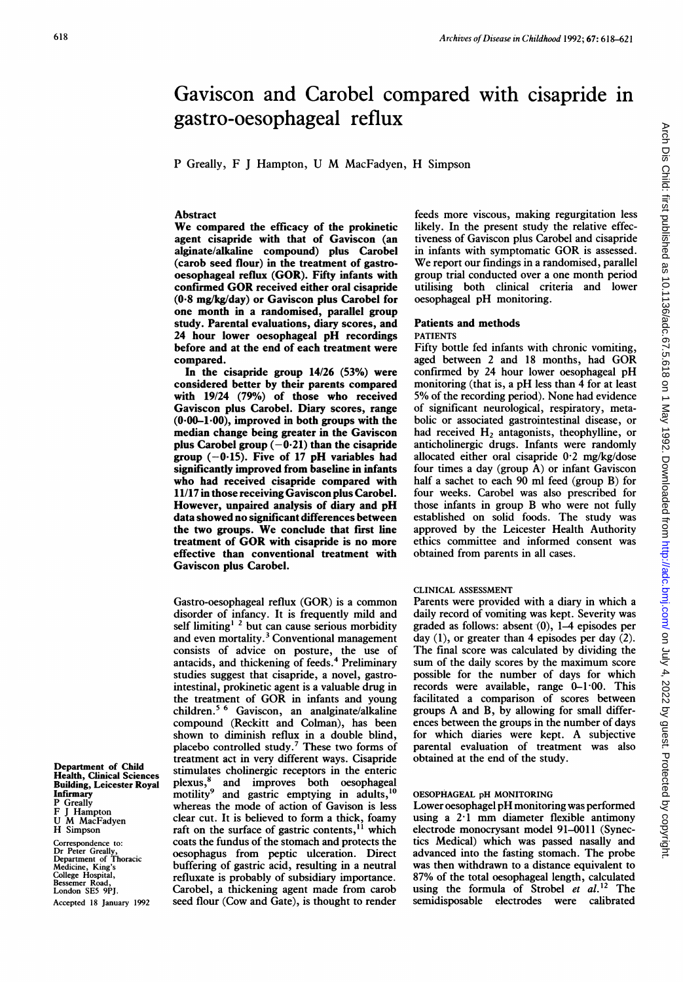# Gaviscon and Carobel compared with cisapride in gastro-oesophageal reflux

<sup>P</sup> Greally, <sup>F</sup> <sup>J</sup> Hampton, U M MacFadyen, H Simpson

#### Abstract

We compared the efficacy of the prokinetic agent cisapride with that of Gaviscon (an alginate/alkaline compound) plus Carobel (carob seed flour) in the treatment of gastrooesophageal reflux (GOR). Fifty infants with confirmed GOR received either oral cisapride (0-8 mg/kg/day) or Gaviscon plus Carobel for one month in a randomised, parallel group study. Parental evaluations, diary scores, and 24 hour lower oesophageal pH recordings before and at the end of each treatment were compared.

In the cisapride group 14/26 (53%) were considered better by their parents compared with 19/24 (79%) of those who received Gaviscon plus Carobel. Diary scores, range  $(0.00-1.00)$ , improved in both groups with the median change being greater in the Gaviscon plus Carobel group  $(-0.21)$  than the cisapride group  $(-0.15)$ . Five of 17 pH variables had significantly improved from baseline in infants who had received cisapride compared with 11/17 in those receiving Gaviscon plus Carobel. However, unpaired analysis of diary and pH data showed no significant differences between the two groups. We conclude that first line treatment of GOR with cisapride is no more effective than conventional treatment with Gaviscon plus Carobel.

Gastro-oesophageal reflux (GOR) is <sup>a</sup> common disorder of infancy. It is frequently mild and self limiting<sup>1</sup> <sup>2</sup> but can cause serious morbidity and even mortality.<sup>3</sup> Conventional management consists of advice on posture, the use of antacids, and thickening of feeds.4 Preliminary studies suggest that cisapride, a novel, gastrointestinal, prokinetic agent is a valuable drug in the treatment of GOR in infants and young children.5 <sup>6</sup> Gaviscon, an analginate/alkaline compound (Reckitt and Colman), has been shown to diminish reflux in a double blind, placebo controlled study.7 These two forms of treatment act in very different ways. Cisapride stimulates cholinergic receptors in the enteric plexus,8 and improves both oesophageal motility<sup>9</sup> and gastric emptying in adults,<sup>10</sup> whereas the mode of action of Gavison is less clear cut. It is believed to form a thick, foamy raft on the surface of gastric contents,<sup>11</sup> which coats the fundus of the stomach and protects the oesophagus from peptic ulceration. Direct buffering of gastric acid, resulting in a neutral refluxate is probably of subsidiary importance. Carobel, a thickening agent made from carob seed flour (Cow and Gate), is thought to render

feeds more viscous, making regurgitation less likely. In the present study the relative effectiveness of Gaviscon plus Carobel and cisapride in infants with symptomatic GOR is assessed. We report our findings in <sup>a</sup> randomised, parallel group trial conducted over a one month period utilising both clinical criteria and lower oesophageal pH monitoring.

# Patients and methods

# PATIENTS

Fifty bottle fed infants with chronic vomiting, aged between <sup>2</sup> and <sup>18</sup> months, had GOR confirmed by 24 hour lower oesophageal pH monitoring (that is, <sup>a</sup> pH less than <sup>4</sup> for at least 5% of the recording period). None had evidence of significant neurological, respiratory, metabolic or associated gastrointestinal disease, or had received  $H<sub>2</sub>$  antagonists, theophylline, or anticholinergic drugs. Infants were randomly allocated either oral cisapride 0-2 mg/kg/dose four times a day (group A) or infant Gaviscon half a sachet to each 90 ml feed (group B) for four weeks. Carobel was also prescribed for those infants in group B who were not fully established on solid foods. The study was approved by the Leicester Health Authority ethics committee and informed consent was obtained from parents in all cases.

#### CLINICAL ASSESSMENT

Parents were provided with a diary in which a daily record of vomiting was kept. Severity was graded as follows: absent  $(0)$ ,  $1-4$  episodes per day (1), or greater than 4 episodes per day (2). The final score was calculated by dividing the sum of the daily scores by the maximum score possible for the number of days for which records were available, range  $0-1.00$ . This facilitated a comparison of scores between groups A and B, by allowing for small differences between the groups in the number of days for which diaries were kept. A subjective parental evaluation of treatment was also obtained at the end of the study.

#### OESOPHAGEAL pH MONITORING

Lower oesophagel pH monitoring was performed using <sup>a</sup> 2-1 mm diameter flexible antimony electrode monocrysant model 91-0011 (Synectics Medical) which was passed nasally and advanced into the fasting stomach. The probe was then withdrawn to a distance equivalent to 87% of the total oesophageal length, calculated using the formula of Strobel et  $al$ <sup>12</sup> The semidisposable electrodes were calibrated

Arch Dis Child: first published as 10.1136/adc.67.5.618 on 1 May 1992. Downloaded from http://adc.bmi.com/ on July 4, 2022 by guest. Protected by copyright Arch Dis Child: first published as 10.1136/adc.67.5.618 on 1 May 1992. Downloaded from Ittp://adc.bmj.com/ Any 4, 2022 by guest. Protected by copyright.

Department of Child Health, Clinical Sciences Building, Leicester Royal Infirmary P Greally F <sup>J</sup> Hampton U M MacFadyen H Simpson

Correspondence to: Dr Peter Greally, Department of Thoracic Medicine, King's College Hospital, Bessemer Road, London SE5 9PJ. Accepted 18 January 1992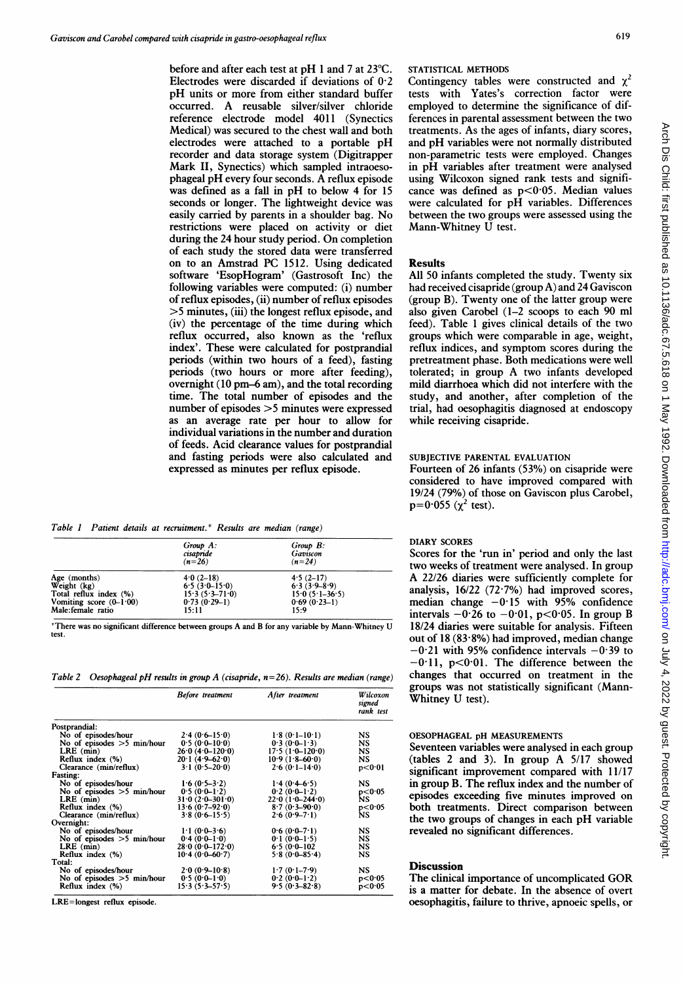before and after each test at pH <sup>1</sup> and <sup>7</sup> at 23°C. Electrodes were discarded if deviations of 0-2 pH units or more from either standard buffer occurred. A reusable silver/silver chloride reference electrode model 4011 (Synectics Medical) was secured to the chest wall and both electrodes were attached to <sup>a</sup> portable pH recorder and data storage system (Digitrapper Mark II, Synectics) which sampled intraoesophageal pH every four seconds. A reflux episode was defined as <sup>a</sup> fall in pH to below 4 for <sup>15</sup> seconds or longer. The lightweight device was easily carried by parents in <sup>a</sup> shoulder bag. No restrictions were placed on activity or diet during the 24 hour study period. On completion of each study the stored data were transferred on to an Amstrad PC 1512. Using dedicated software 'EsopHogram' (Gastrosoft Inc) the following variables were computed: (i) number of reflux episodes, (ii) number of reflux episodes >5 minutes, (iii) the longest reflux episode, and (iv) the percentage of the time during which reflux occurred, also known as the 'reflux index'. These were calculated for postprandial periods (within two hours of a feed), fasting periods (two hours or more after feeding), overnight (10 pm-6 am), and the total recording time. The total number of episodes and the number of episodes >5 minutes were expressed as an average rate per hour to allow for individual variations in the number and duration of feeds. Acid clearance values for postprandial and fasting periods were also calculated and expressed as minutes per reflux episode.

Table 1 Patient details at recruitment.<sup>\*</sup> Results are median (range)

|                           | Group $A$ :<br>cisapride<br>$(n=26)$ | Group B:<br>Gaviscon<br>$(n=24)$ |
|---------------------------|--------------------------------------|----------------------------------|
| Age (months)              | $4.0(2-18)$                          | $4.5(2-17)$                      |
| Weight (kg)               | $6.5(3.0-15.0)$                      | $6.3(3.9-8.9)$                   |
| Total reflux index (%)    | $15.3(5.3 - 71.0)$                   | $15.0(5.1 - 36.5)$               |
| Vomiting score $(0-1.00)$ | $0.73(0.29-1)$                       | $0.69(0.23-1)$                   |
| Male:female ratio         | 15:11                                | 15:9                             |

:'There was no significant difference between groups A and B for any variable by Mann-Whitney U test.

Table 2 Oesophageal pH results in group  $A$  (cisapride,  $n=26$ ). Results are median (range)

|                              | Before treatment    | After treatment   | Wilcoxon<br>signed<br>rank test |
|------------------------------|---------------------|-------------------|---------------------------------|
| Postprandial:                |                     |                   |                                 |
| No of episodes/hour          | $2.4(0.6-15.0)$     | $1.8(0.1-10.1)$   | NS.                             |
| No of episodes $>5$ min/hour | $0.5(0.0-10.0)$     | $0.3(0.0-1.3)$    | NS                              |
| $LRE$ (min)                  | $26.0(4.0-120.0)$   | $17.5(1.0-120.0)$ | NS                              |
| Reflux index $(\%)$          | $20.1(4.9-62.0)$    | $10.9(1.8-60.0)$  | NS                              |
| Clearance (min/reflux)       | $3.1(0.5-20.0)$     | $2.6(0.1-14.0)$   | p < 0.01                        |
| <b>Fasting:</b>              |                     |                   |                                 |
| No of episodes/hour          | $1.6(0.5 - 3.2)$    | $1.4(0.4-6.5)$    | <b>NS</b>                       |
| No of episodes $>5$ min/hour | $0.5(0.0-1.2)$      | $0.2(0.0-1.2)$    | p < 0.05                        |
| $LRE$ (min)                  | $31.0(2.0 - 301.0)$ | $22.0(1.0-244.0)$ | NS                              |
| Reflux index $(\%)$          | $13.6 (0.7 - 92.0)$ | $8.7(0.3 - 90.0)$ | p < 0.05                        |
| Clearance (min/reflux)       | $3.8(0.6 - 15.5)$   | $2.6(0.9 - 7.1)$  | NS                              |
| Overnight:                   |                     |                   |                                 |
| No of episodes/hour          | $1.1(0.0-3.6)$      | $0.6(0.0-7.1)$    | NS                              |
| No of episodes $>5$ min/hour | $0.4(0.0-1.0)$      | $0.1(0.0-1.5)$    | <b>NS</b>                       |
| $LRE$ (min)                  | $28.0(0.0 - 172.0)$ | $6.5(0.0 - 102)$  | NS                              |
| Reflux index $(\%)$          | $10.4(0.0-60.7)$    | $5.8(0.0 - 85.4)$ | NS                              |
| Total:                       |                     |                   |                                 |
| No of episodes/hour          | $2.0(0.9-10.8)$     | $1.7(0.1 - 7.9)$  | <b>NS</b>                       |
| No of episodes $>5$ min/hour | $0.5(0.0-1.0)$      | $0.2(0.0-1.2)$    | p < 0.05                        |
| Reflux index (%)             | $15.3(5.3 - 57.5)$  | $9.5(0.3 - 82.8)$ | p < 0.05                        |

LRE-longest reflux episode.

# STATISTICAL METHODS

Contingency tables were constructed and  $\chi^2$ tests with Yates's correction factor were employed to determine the significance of differences in parental assessment between the two treatments. As the ages of infants, diary scores, and pH variables were not normally distributed non-parametric tests were employed. Changes in pH variables after treatment were analysed using Wilcoxon signed rank tests and significance was defined as  $p < 0.05$ . Median values were calculated for pH variables. Differences between the two groups were assessed using the Mann-Whitney U test.

#### Results

All 50 infants completed the study. Twenty six had received cisapride (group A) and 24 Gaviscon (group B). Twenty one of the latter group were also given Carobel (1-2 scoops to each 90 ml feed). Table <sup>1</sup> gives clinical details of the two groups which were comparable in age, weight, reflux indices, and symptom scores during the pretreatment phase. Both medications were well tolerated; in group A two infants developed mild diarrhoea which did not interfere with the study, and another, after completion of the trial, had oesophagitis diagnosed at endoscopy while receiving cisapride.

# SUBJECTIVE PARENTAL EVALUATION

Fourteen of 26 infants (53%) on cisapride were considered to have improved compared with 19/24 (79%) of those on Gaviscon plus Carobel,  $p=0.055$  ( $\chi^2$  test).

# DIARY SCORES

Scores for the 'run in' period and only the last two weeks of treatment were analysed. In group A 22/26 diaries were sufficiently complete for analysis, 16/22 (72-7%) had improved scores, median change  $-0.15$  with 95% confidence intervals  $-0.26$  to  $-0.01$ , p<0.05. In group B 18/24 diaries were suitable for analysis. Fifteen out of 18 (83-8%) had improved, median change  $-0.21$  with 95% confidence intervals  $-0.39$  to  $-0.11$ , p<0.01. The difference between the changes that occurred on treatment in the groups was not statistically significant (Mann-Whitney U test).

#### OESOPHAGEAL pH MEASUREMENTS

Seventeen variables were analysed in each group (tables <sup>2</sup> and 3). In group A 5/17 showed significant improvement compared with 11/17 in group B. The reflux index and the number of episodes exceeding five minutes improved on both treatments. Direct comparison between the two groups of changes in each pH variable revealed no significant differences.

#### **Discussion**

The clinical importance of uncomplicated GOR is a matter for debate. In the absence of overt oesophagitis, failure to thrive, apnoeic spells, or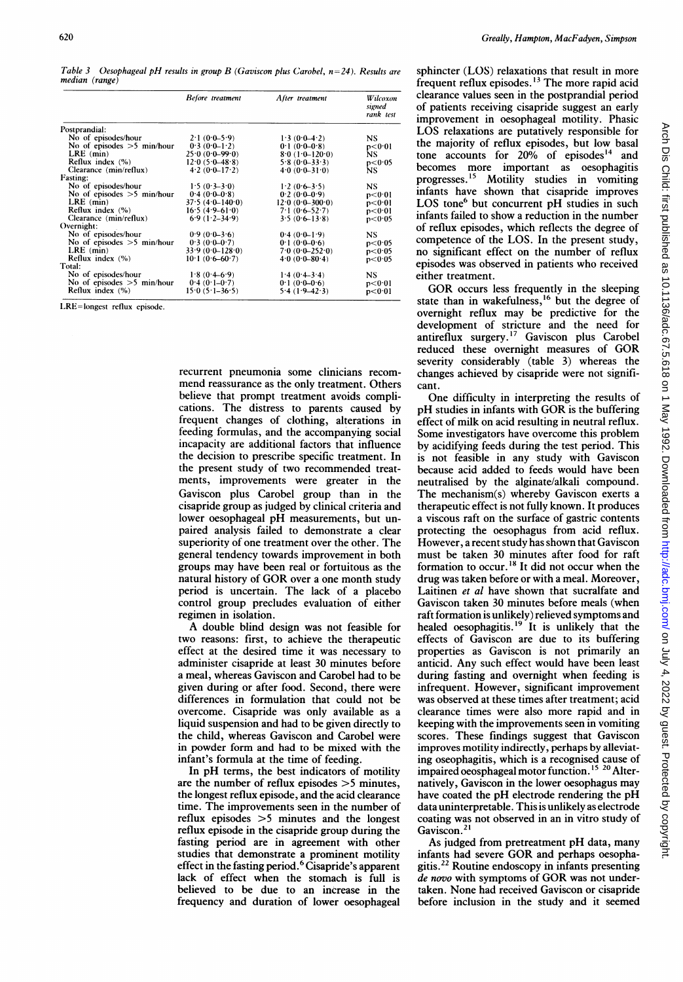Table 3  $\,$  Oesophageal pH results in group B (Gaviscon plus Carobel, n=24). Results are median (range)

|                              | Before treatment    | After treatment      | Wilcoxon<br>signed<br>rank test |
|------------------------------|---------------------|----------------------|---------------------------------|
| Postprandial:                |                     |                      |                                 |
| No of episodes/hour          | $2.1(0.0-5.9)$      | $1.3(0.0-4.2)$       | NS.                             |
| No of episodes $>5$ min/hour | $0.3(0.0-1.2)$      | $0.1(0.0-0.8)$       | p < 0.01                        |
| $LRE$ (min)                  | $25.0(0.0-99.0)$    | $8.0(1.0-120.0)$     | NS.                             |
| Reflux index $(\% )$         | $12.0(5.0 - 48.8)$  | $5.8(0.0 - 33.3)$    | p < 0.05                        |
| Clearance $(min/reflux)$     | $4.2(0.0-17.2)$     | $40(0.0 - 31.0)$     | NS.                             |
| <b>Fasting:</b>              |                     |                      |                                 |
| No of episodes/hour          | $1.5(0.3 - 3.0)$    | $1.2(0.6-3.5)$       | NS.                             |
| No of episodes $>5$ min/hour | $0.4(0.0-0.8)$      | $0.2(0.0-0.9)$       | p < 0.01                        |
| $LRE$ (min)                  | $37.5(4.0-140.0)$   | $12.0 (0.0 - 300.0)$ | p < 0.01                        |
| Reflux index $(\%)$          | $16.5(4.9-61.0)$    | $7.1(0.6-52.7)$      | p < 0.01                        |
| Clearance (min/reflux)       | $6.9(1.2 - 34.9)$   | $3.5(0.6-13.8)$      | p < 0.05                        |
| Overnight:                   |                     |                      |                                 |
| No of episodes/hour          | $0.9(0.0 - 3.6)$    | $0.4(0.0-1.9)$       | NS.                             |
| No of episodes $>5$ min/hour | $0.3(0.0-0.7)$      | $0.1(0.0-0.6)$       | p<0.05                          |
| $LRE$ (min)                  | $33.9(0.0 - 128.0)$ | $7.0(0.0-252.0)$     | p < 0.05                        |
| Reflux index $(\%)$          | $10.1(0.6-60.7)$    | $4.0(0.0 - 80.4)$    | p < 0.05                        |
| Total:                       |                     |                      |                                 |
| No of episodes/hour          | $1.8(0.4-6.9)$      | $1.4(0.4-3.4)$       | NS.                             |
| No of episodes $>5$ min/hour | $0.4(0.1-0.7)$      | $0.1(0.0-0.6)$       | p < 0.01                        |
| Reflux index $(\% )$         | $15.0(5.1 - 36.5)$  | $5.4(1.9-42.3)$      | p < 0.01                        |

LRE=longest reflux episode.

recurrent pneumonia some clinicians recommend reassurance as the only treatment. Others believe that prompt treatment avoids complications. The distress to parents caused by frequent changes of clothing, alterations in feeding formulas, and the accompanying social incapacity are additional factors that influence the decision to prescribe specific treatment. In the present study of two recommended treatments, improvements were greater in the Gaviscon plus Carobel group than in the cisapride group as judged by clinical criteria and lower oesophageal pH measurements, but unpaired analysis failed to demonstrate a clear superiority of one treatment over the other. The general tendency towards improvement in both groups may have been real or fortuitous as the natural history of GOR over <sup>a</sup> one month study period is uncertain. The lack of a placebo control group precludes evaluation of either regimen in isolation.

A double blind design was not feasible for two reasons: first, to achieve the therapeutic effect at the desired time it was necessary to administer cisapride at least 30 minutes before a meal, whereas Gaviscon and Carobel had to be given during or after food. Second, there were differences in formulation that could not be overcome. Cisapride was only available as a liquid suspension and had to be given directly to the child, whereas Gaviscon and Carobel were in powder form and had to be mixed with the infant's formula at the time of feeding.

In pH terms, the best indicators of motility are the number of reflux episodes >5 minutes, the longest reflux episode, and the acid clearance time. The improvements seen in the number of reflux episodes >5 minutes and the longest reflux episode in the cisapride group during the fasting period are in agreement with other studies that demonstrate a prominent motility effect in the fasting period.<sup>6</sup> Cisapride's apparent lack of effect when the stomach is full is believed to be due to an increase in the frequency and duration of lower oesophageal

sphincter (LOS) relaxations that result in more frequent reflux episodes.<sup>13</sup> The more rapid acid clearance values seen in the postprandial period of patients receiving cisapride suggest an early improvement in oesophageal motility. Phasic LOS relaxations are putatively responsible for the majority of reflux episodes, but low basal tone accounts for 20% of episodes'4 and becomes more important as oesophagitis progresses.<sup>15</sup> Motility studies in vomiting infants have shown that cisapride improves LOS tone<sup>6</sup> but concurrent pH studies in such infants failed to show a reduction in the number of reflux episodes, which reflects the degree of competence of the LOS. In the present study, no significant effect on the number of reflux episodes was observed in patients who received either treatment.

GOR occurs less frequently in the sleeping state than in wakefulness,<sup>10</sup> but the degree of overnight reflux may be predictive for the development of stricture and the need for antireflux surgery.'7 Gaviscon plus Carobel reduced these overnight measures of GOR severity considerably (table 3) whereas the changes achieved by cisapride were not significant.

One difficulty in interpreting the results of pH studies in infants with GOR is the buffering effect of milk on acid resulting in neutral reflux. Some investigators have overcome this problem by acidifying feeds during the test period. This is not feasible in any study with Gaviscon because acid added to feeds would have been neutralised by the alginate/alkali compound. The mechanism(s) whereby Gaviscon exerts <sup>a</sup> therapeutic effect is not fully known. It produces a viscous raft on the surface of gastric contents protecting the oesophagus from acid reflux. However, a recent study has shown that Gaviscon must be taken 30 minutes after food for raft formation to occur.<sup>18</sup> It did not occur when the drug was taken before or with a meal. Moreover, Laitinen et al have shown that sucralfate and Gaviscon taken 30 minutes before meals (when raft formation is unlikely) relieved symptoms and healed oesophagitis.<sup>19 It</sup> is unlikely that the effects of Gaviscon are due to its buffering properties as Gaviscon is not primarily an anticid. Any such effect would have been least during fasting and overnight when feeding is infrequent. However, significant improvement was observed at these times after treatment; acid clearance times were also more rapid and in keeping with the improvements seen in vomiting scores. These findings suggest that Gaviscon improves motility indirectly, perhaps by alleviating oseophagitis, which is a recognised cause of impaired oeosphageal motor function. <sup>15</sup> <sup>20</sup> Alternatively, Gaviscon in the lower oesophagus may have coated the pH electrode rendering the pH data uninterpretable. This is unlikely as electrode coating was not observed in an in vitro study of Gaviscon.<sup>21</sup>

As judged from pretreatment pH data, many infants had severe GOR and perhaps oesophagitis.<sup>22</sup> Routine endoscopy in infants presenting de novo with symptoms of GOR was not undertaken. None had received Gaviscon or cisapride before inclusion in the study and it seemed